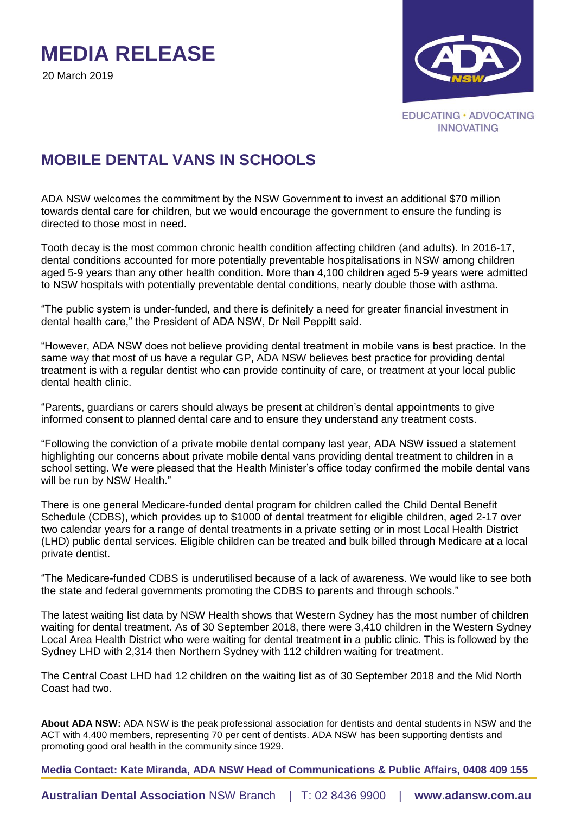## **MEDIA RELEASE**

20 March 2019



## **MOBILE DENTAL VANS IN SCHOOLS**

ADA NSW welcomes the commitment by the NSW Government to invest an additional \$70 million towards dental care for children, but we would encourage the government to ensure the funding is directed to those most in need.

Tooth decay is the most common chronic health condition affecting children (and adults). In 2016-17, dental conditions accounted for more potentially preventable hospitalisations in NSW among children aged 5-9 years than any other health condition. More than 4,100 children aged 5-9 years were admitted to NSW hospitals with potentially preventable dental conditions, nearly double those with asthma.

"The public system is under-funded, and there is definitely a need for greater financial investment in dental health care," the President of ADA NSW, Dr Neil Peppitt said.

"However, ADA NSW does not believe providing dental treatment in mobile vans is best practice. In the same way that most of us have a regular GP, ADA NSW believes best practice for providing dental treatment is with a regular dentist who can provide continuity of care, or treatment at your local public dental health clinic.

"Parents, guardians or carers should always be present at children's dental appointments to give informed consent to planned dental care and to ensure they understand any treatment costs.

"Following the conviction of a private mobile dental company last year, ADA NSW issued a statement highlighting our concerns about private mobile dental vans providing dental treatment to children in a school setting. We were pleased that the Health Minister's office today confirmed the mobile dental vans will be run by NSW Health."

There is one general Medicare-funded dental program for children called the Child Dental Benefit Schedule (CDBS), which provides up to \$1000 of dental treatment for eligible children, aged 2-17 over two calendar years for a range of dental treatments in a private setting or in most Local Health District (LHD) public dental services. Eligible children can be treated and bulk billed through Medicare at a local private dentist.

"The Medicare-funded CDBS is underutilised because of a lack of awareness. We would like to see both the state and federal governments promoting the CDBS to parents and through schools."

The latest waiting list data by NSW Health shows that Western Sydney has the most number of children waiting for dental treatment. As of 30 September 2018, there were 3,410 children in the Western Sydney Local Area Health District who were waiting for dental treatment in a public clinic. This is followed by the Sydney LHD with 2,314 then Northern Sydney with 112 children waiting for treatment.

The Central Coast LHD had 12 children on the waiting list as of 30 September 2018 and the Mid North Coast had two.

**About ADA NSW:** ADA NSW is the peak professional association for dentists and dental students in NSW and the ACT with 4,400 members, representing 70 per cent of dentists. ADA NSW has been supporting dentists and promoting good oral health in the community since 1929.

**Media Contact: Kate Miranda, ADA NSW Head of Communications & Public Affairs, 0408 409 155**